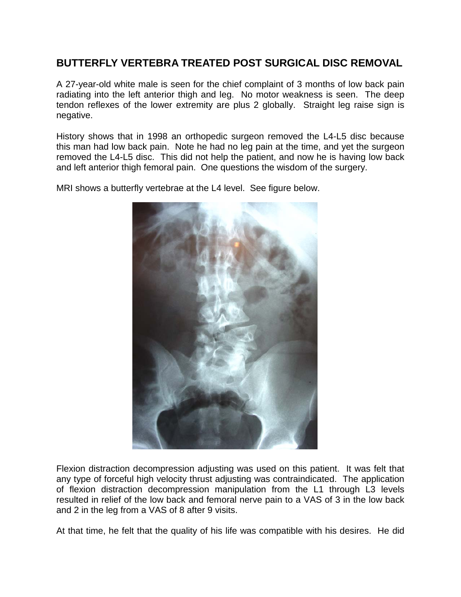## **BUTTERFLY VERTEBRA TREATED POST SURGICAL DISC REMOVAL**

A 27-year-old white male is seen for the chief complaint of 3 months of low back pain radiating into the left anterior thigh and leg. No motor weakness is seen. The deep tendon reflexes of the lower extremity are plus 2 globally. Straight leg raise sign is negative.

History shows that in 1998 an orthopedic surgeon removed the L4-L5 disc because this man had low back pain. Note he had no leg pain at the time, and yet the surgeon removed the L4-L5 disc. This did not help the patient, and now he is having low back and left anterior thigh femoral pain. One questions the wisdom of the surgery.

MRI shows a butterfly vertebrae at the L4 level. See figure below.



Flexion distraction decompression adjusting was used on this patient. It was felt that any type of forceful high velocity thrust adjusting was contraindicated. The application of flexion distraction decompression manipulation from the L1 through L3 levels resulted in relief of the low back and femoral nerve pain to a VAS of 3 in the low back and 2 in the leg from a VAS of 8 after 9 visits.

At that time, he felt that the quality of his life was compatible with his desires. He did